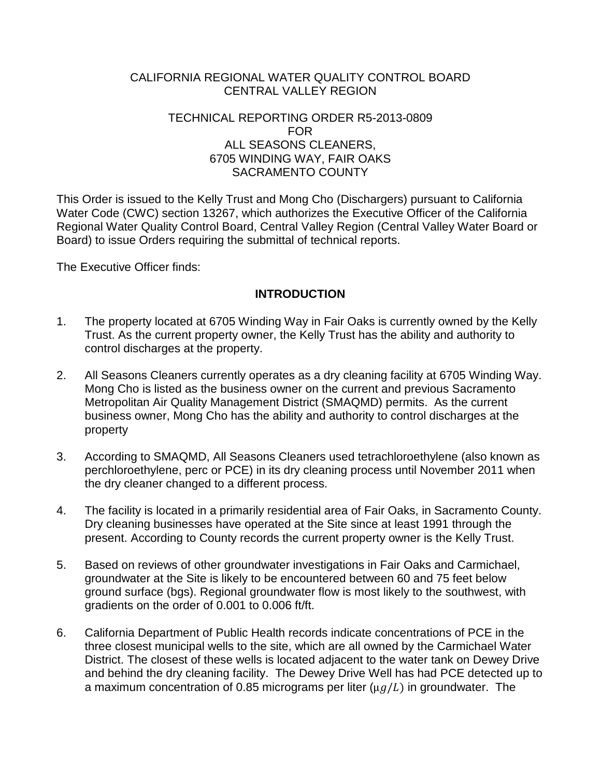# CALIFORNIA REGIONAL WATER QUALITY CONTROL BOARD CENTRAL VALLEY REGION

### TECHNICAL REPORTING ORDER R5-2013-0809 FOR ALL SEASONS CLEANERS, 6705 WINDING WAY, FAIR OAKS SACRAMENTO COUNTY

This Order is issued to the Kelly Trust and Mong Cho (Dischargers) pursuant to California Water Code (CWC) section 13267, which authorizes the Executive Officer of the California Regional Water Quality Control Board, Central Valley Region (Central Valley Water Board or Board) to issue Orders requiring the submittal of technical reports.

The Executive Officer finds:

# **INTRODUCTION**

- 1. The property located at 6705 Winding Way in Fair Oaks is currently owned by the Kelly Trust. As the current property owner, the Kelly Trust has the ability and authority to control discharges at the property.
- 2. All Seasons Cleaners currently operates as a dry cleaning facility at 6705 Winding Way. Mong Cho is listed as the business owner on the current and previous Sacramento Metropolitan Air Quality Management District (SMAQMD) permits. As the current business owner, Mong Cho has the ability and authority to control discharges at the property
- 3. According to SMAQMD, All Seasons Cleaners used tetrachloroethylene (also known as perchloroethylene, perc or PCE) in its dry cleaning process until November 2011 when the dry cleaner changed to a different process.
- 4. The facility is located in a primarily residential area of Fair Oaks, in Sacramento County. Dry cleaning businesses have operated at the Site since at least 1991 through the present. According to County records the current property owner is the Kelly Trust.
- 5. Based on reviews of other groundwater investigations in Fair Oaks and Carmichael, groundwater at the Site is likely to be encountered between 60 and 75 feet below ground surface (bgs). Regional groundwater flow is most likely to the southwest, with gradients on the order of 0.001 to 0.006 ft/ft.
- 6. California Department of Public Health records indicate concentrations of PCE in the three closest municipal wells to the site, which are all owned by the Carmichael Water District. The closest of these wells is located adjacent to the water tank on Dewey Drive and behind the dry cleaning facility. The Dewey Drive Well has had PCE detected up to a maximum concentration of 0.85 micrograms per liter ( $\mu q/L$ ) in groundwater. The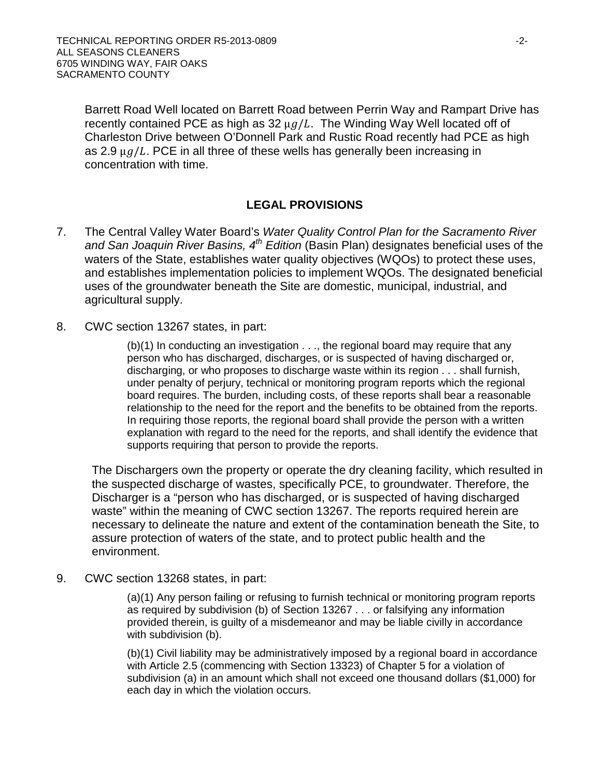Barrett Road Well located on Barrett Road between Perrin Way and Rampart Drive has recently contained PCE as high as 32  $\mu g/L$ . The Winding Way Well located off of Charleston Drive between O'Donnell Park and Rustic Road recently had PCE as high as 2.9  $\mu$ g/L. PCE in all three of these wells has generally been increasing in concentration with time.

# **LEGAL PROVISIONS**

- 7. The Central Valley Water Board's *Water Quality Control Plan for the Sacramento River and San Joaquin River Basins, 4th Edition* (Basin Plan) designates beneficial uses of the waters of the State, establishes water quality objectives (WQOs) to protect these uses, and establishes implementation policies to implement WQOs. The designated beneficial uses of the groundwater beneath the Site are domestic, municipal, industrial, and agricultural supply.
- 8. CWC section 13267 states, in part:

(b)(1) In conducting an investigation . . ., the regional board may require that any person who has discharged, discharges, or is suspected of having discharged or, discharging, or who proposes to discharge waste within its region . . . shall furnish, under penalty of perjury, technical or monitoring program reports which the regional board requires. The burden, including costs, of these reports shall bear a reasonable relationship to the need for the report and the benefits to be obtained from the reports. In requiring those reports, the regional board shall provide the person with a written explanation with regard to the need for the reports, and shall identify the evidence that supports requiring that person to provide the reports.

The Dischargers own the property or operate the dry cleaning facility, which resulted in the suspected discharge of wastes, specifically PCE, to groundwater. Therefore, the Discharger is a "person who has discharged, or is suspected of having discharged waste" within the meaning of CWC section 13267. The reports required herein are necessary to delineate the nature and extent of the contamination beneath the Site, to assure protection of waters of the state, and to protect public health and the environment.

9. CWC section 13268 states, in part:

(a)(1) Any person failing or refusing to furnish technical or monitoring program reports as required by subdivision (b) of Section 13267 . . . or falsifying any information provided therein, is guilty of a misdemeanor and may be liable civilly in accordance with subdivision (b).

(b)(1) Civil liability may be administratively imposed by a regional board in accordance with Article 2.5 (commencing with Section 13323) of Chapter 5 for a violation of subdivision (a) in an amount which shall not exceed one thousand dollars (\$1,000) for each day in which the violation occurs.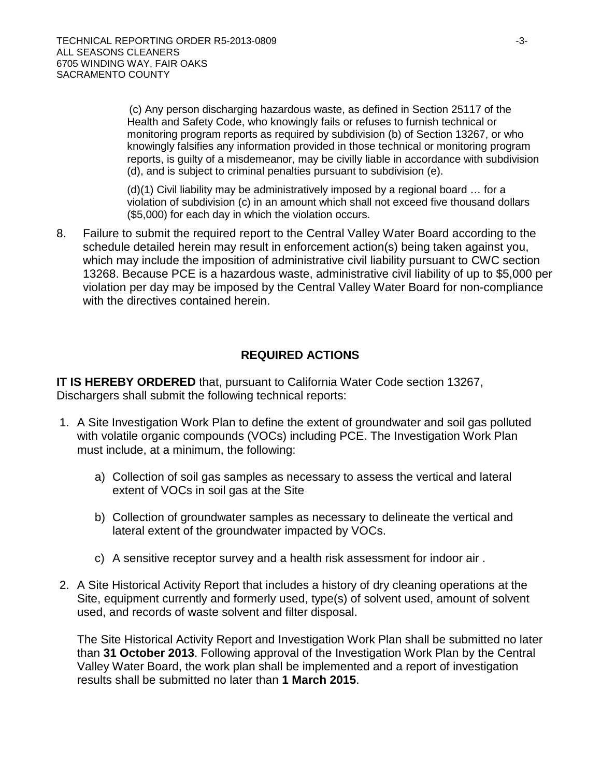(c) Any person discharging hazardous waste, as defined in Section 25117 of the Health and Safety Code, who knowingly fails or refuses to furnish technical or monitoring program reports as required by subdivision (b) of Section 13267, or who knowingly falsifies any information provided in those technical or monitoring program reports, is guilty of a misdemeanor, may be civilly liable in accordance with subdivision (d), and is subject to criminal penalties pursuant to subdivision (e).

(d)(1) Civil liability may be administratively imposed by a regional board … for a violation of subdivision (c) in an amount which shall not exceed five thousand dollars (\$5,000) for each day in which the violation occurs.

8. Failure to submit the required report to the Central Valley Water Board according to the schedule detailed herein may result in enforcement action(s) being taken against you, which may include the imposition of administrative civil liability pursuant to CWC section 13268. Because PCE is a hazardous waste, administrative civil liability of up to \$5,000 per violation per day may be imposed by the Central Valley Water Board for non-compliance with the directives contained herein.

# **REQUIRED ACTIONS**

**IT IS HEREBY ORDERED** that, pursuant to California Water Code section 13267, Dischargers shall submit the following technical reports:

- 1. A Site Investigation Work Plan to define the extent of groundwater and soil gas polluted with volatile organic compounds (VOCs) including PCE. The Investigation Work Plan must include, at a minimum, the following:
	- a) Collection of soil gas samples as necessary to assess the vertical and lateral extent of VOCs in soil gas at the Site
	- b) Collection of groundwater samples as necessary to delineate the vertical and lateral extent of the groundwater impacted by VOCs.
	- c) A sensitive receptor survey and a health risk assessment for indoor air .
- 2. A Site Historical Activity Report that includes a history of dry cleaning operations at the Site, equipment currently and formerly used, type(s) of solvent used, amount of solvent used, and records of waste solvent and filter disposal.

The Site Historical Activity Report and Investigation Work Plan shall be submitted no later than **31 October 2013**. Following approval of the Investigation Work Plan by the Central Valley Water Board, the work plan shall be implemented and a report of investigation results shall be submitted no later than **1 March 2015**.